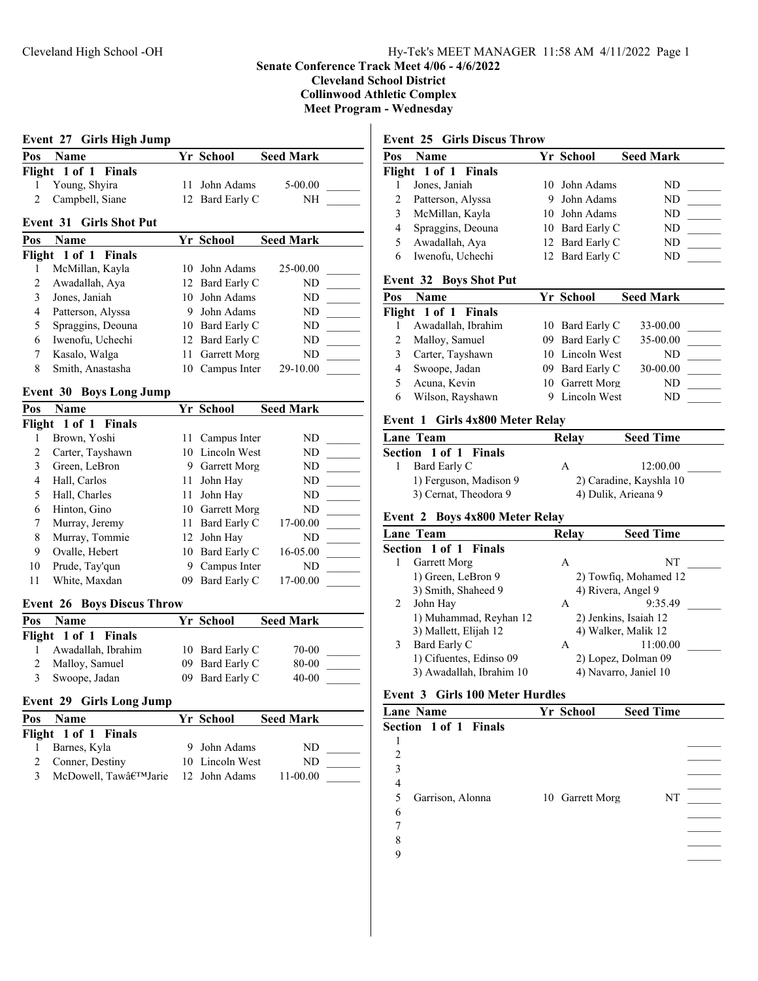## **Senate Conference Track Meet 4/06 - 4/6/2022**

**Cleveland School District**

**Collinwood Athletic Complex**

**Meet Program - Wednesday**

# **Event 27 Girls High Jump Pos Name Seed Mark Yr School Seed Mark Flight 1 of 1 Finals** 1 Young, Shyira 11 John Adams 5-00.00 2 Campbell, Siane  $12$  Bard Early C NH **Event 31 Girls Shot Put Pos Name Seed Mark Yr School Seed Mark**

|   | Flight 1 of 1 Finals |                 |          |  |
|---|----------------------|-----------------|----------|--|
|   | McMillan, Kayla      | 10 John Adams   | 25-00.00 |  |
|   | Awadallah, Aya       | 12 Bard Early C | ND       |  |
|   | Jones, Janiah        | 10 John Adams   | ND       |  |
| 4 | Patterson, Alyssa    | 9 John Adams    | ND       |  |
|   | Spraggins, Deouna    | 10 Bard Early C | ND       |  |
| 6 | Iwenofu, Uchechi     | 12 Bard Early C | ND       |  |
|   | Kasalo, Walga        | 11 Garrett Morg | ND       |  |
| 8 | Smith, Anastasha     | 10 Campus Inter | 29-10.00 |  |

### **Event 30 Boys Long Jump**

| Pos | <b>Name</b>          |    | Yr School       | <b>Seed Mark</b> |  |
|-----|----------------------|----|-----------------|------------------|--|
|     | Flight 1 of 1 Finals |    |                 |                  |  |
|     | Brown, Yoshi         |    | 11 Campus Inter | ND               |  |
| 2   | Carter, Tayshawn     |    | 10 Lincoln West | ND               |  |
| 3   | Green, LeBron        | 9  | Garrett Morg    | ND               |  |
| 4   | Hall, Carlos         | 11 | John Hay        | ND               |  |
| 5   | Hall, Charles        | 11 | John Hay        | ND               |  |
| 6   | Hinton, Gino         | 10 | Garrett Morg    | ND               |  |
| 7   | Murray, Jeremy       | 11 | Bard Early C    | 17-00.00         |  |
| 8   | Murray, Tommie       |    | 12 John Hay     | ND               |  |
| 9   | Ovalle, Hebert       | 10 | Bard Early C    | 16-05.00         |  |
| 10  | Prude, Tay'qun       | 9  | Campus Inter    | ND               |  |
| 11  | White, Maxdan        | 09 | Bard Early C    | 17-00.00         |  |

#### **Event 26 Boys Discus Throw**

| Pos | <b>Name</b>          | Yr School       | <b>Seed Mark</b> |  |
|-----|----------------------|-----------------|------------------|--|
|     | Flight 1 of 1 Finals |                 |                  |  |
|     | 1 Awadallah, Ibrahim | 10 Bard Early C | 70-00            |  |
|     | 2 Malloy, Samuel     | 09 Bard Early C | 80-00            |  |
| 3   | Swoope, Jadan        | 09 Bard Early C | 40-00            |  |

### **Event 29 Girls Long Jump**

| Pos | <b>Name</b>                       | Yr School       | <b>Seed Mark</b> |  |
|-----|-----------------------------------|-----------------|------------------|--|
|     | Flight 1 of 1 Finals              |                 |                  |  |
|     | Barnes, Kyla                      | 9 John Adams    | ND.              |  |
|     | 2 Conner, Destiny                 | 10 Lincoln West | ND.              |  |
| 3   | McDowell, Taw'Jarie 12 John Adams |                 | 11-00.00         |  |

## **Event 25 Girls Discus Throw**

| Pos | <b>Name</b>          | Yr School       | <b>Seed Mark</b> |
|-----|----------------------|-----------------|------------------|
|     | Flight 1 of 1 Finals |                 |                  |
|     | Jones, Janiah        | 10 John Adams   | ND               |
|     | Patterson, Alyssa    | 9 John Adams    | ND               |
| 3   | McMillan, Kayla      | 10 John Adams   | ND               |
| 4   | Spraggins, Deouna    | 10 Bard Early C | ND               |
| 5   | Awadallah, Aya       | 12 Bard Early C | ND               |
| 6   | Iwenofu, Uchechi     | 12 Bard Early C | ND               |
|     |                      |                 |                  |

## **Event 32 Boys Shot Put**

| Pos | <b>Name</b>          | Yr School       | <b>Seed Mark</b> |  |
|-----|----------------------|-----------------|------------------|--|
|     | Flight 1 of 1 Finals |                 |                  |  |
|     | Awadallah, Ibrahim   | 10 Bard Early C | 33-00.00         |  |
|     | Malloy, Samuel       | 09 Bard Early C | 35-00.00         |  |
|     | Carter, Tayshawn     | 10 Lincoln West | ND               |  |
|     | Swoope, Jadan        | 09 Bard Early C | 30-00.00         |  |
|     | Acuna, Kevin         | 10 Garrett Morg | ND               |  |
| 6   | Wilson, Rayshawn     | 9 Lincoln West  | ND               |  |
|     |                      |                 |                  |  |

#### **Event 1 Girls 4x800 Meter Relay**

| <b>Lane Team</b> |                              | Relav | <b>Seed Time</b>        |
|------------------|------------------------------|-------|-------------------------|
|                  | <b>Section 1 of 1 Finals</b> |       |                         |
|                  | Bard Early C                 | А     | 12:00.00                |
|                  | 1) Ferguson, Madison 9       |       | 2) Caradine, Kayshla 10 |
|                  | 3) Cernat, Theodora 9        |       | 4) Dulik, Arieana 9     |

#### **Event 2 Boys 4x800 Meter Relay**

|   | Lane Team                    | Relay | <b>Seed Time</b>      |  |
|---|------------------------------|-------|-----------------------|--|
|   | <b>Section 1 of 1 Finals</b> |       |                       |  |
|   | Garrett Morg                 | A     | NT                    |  |
|   | 1) Green, LeBron 9           |       | 2) Towfig, Mohamed 12 |  |
|   | 3) Smith, Shaheed 9          |       | 4) Rivera, Angel 9    |  |
| 2 | John Hay                     | А     | 9:35.49               |  |
|   | 1) Muhammad, Reyhan 12       |       | 2) Jenkins, Isaiah 12 |  |
|   | 3) Mallett, Elijah 12        |       | 4) Walker, Malik 12   |  |
| 3 | Bard Early C                 | A     | 11:00.00              |  |
|   | 1) Cifuentes, Edinso 09      |       | 2) Lopez, Dolman 09   |  |
|   | 3) Awadallah, Ibrahim 10     |       | 4) Navarro, Janiel 10 |  |
|   |                              |       |                       |  |

## **Event 3 Girls 100 Meter Hurdles**

| <b>Lane Name</b>             | Yr School       | <b>Seed Time</b> |
|------------------------------|-----------------|------------------|
| <b>Section 1 of 1 Finals</b> |                 |                  |
|                              |                 |                  |
| 2                            |                 |                  |
| 3                            |                 |                  |
| 4                            |                 |                  |
| Garrison, Alonna<br>5        | 10 Garrett Morg | NT               |
| 6                            |                 |                  |
|                              |                 |                  |
| 8                            |                 |                  |
| 9                            |                 |                  |
|                              |                 |                  |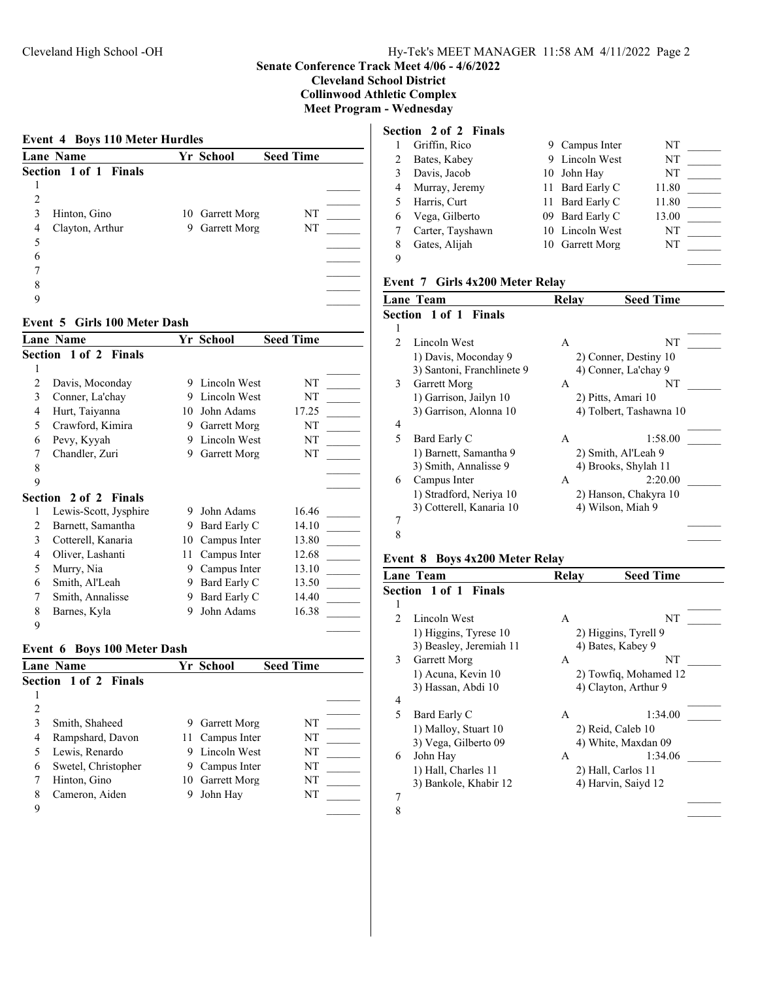## **Senate Conference Track Meet 4/06 - 4/6/2022**

**Cleveland School District**

**Collinwood Athletic Complex**

**Meet Program - Wednesday**

| <b>Lane Name</b>      |   | Yr School           | <b>Seed Time</b> |
|-----------------------|---|---------------------|------------------|
| Section 1 of 1 Finals |   |                     |                  |
|                       |   |                     |                  |
| 2                     |   |                     |                  |
| Hinton, Gino<br>3     |   | 10 Garrett Morg     | NT               |
| Clayton, Arthur<br>4  | 9 | <b>Garrett Morg</b> | NT               |
| 5                     |   |                     |                  |
| 6                     |   |                     |                  |
|                       |   |                     |                  |
| 8                     |   |                     |                  |
| q                     |   |                     |                  |

#### **Event 5 Girls 100 Meter Dash**

|                | <b>Lane Name</b>      |    | Yr School    | <b>Seed Time</b> |
|----------------|-----------------------|----|--------------|------------------|
|                | Section 1 of 2 Finals |    |              |                  |
|                |                       |    |              |                  |
| $\overline{c}$ | Davis, Moconday       | 9  | Lincoln West | NT               |
| 3              | Conner, La'chay       | 9  | Lincoln West | NT               |
| 4              | Hurt, Taiyanna        | 10 | John Adams   | 17.25            |
| 5              | Crawford, Kimira      | 9  | Garrett Morg | NT               |
| 6              | Pevy, Kyyah           | 9  | Lincoln West | NT               |
| 7              | Chandler, Zuri        | 9  | Garrett Morg | NT               |
| 8              |                       |    |              |                  |
| 9              |                       |    |              |                  |
|                | Section 2 of 2 Finals |    |              |                  |
| 1              | Lewis-Scott, Jysphire | 9  | John Adams   | 16.46            |
| 2              | Barnett, Samantha     | 9  | Bard Early C | 14.10            |
| 3              | Cotterell, Kanaria    | 10 | Campus Inter | 13.80            |
| 4              | Oliver, Lashanti      | 11 | Campus Inter | 12.68            |
| 5              | Murry, Nia            | 9  | Campus Inter | 13.10            |
| 6              | Smith, Al'Leah        | 9  | Bard Early C | 13.50            |
| 7              | Smith, Annalisse      | 9  | Bard Early C | 14.40            |
| 8              | Barnes, Kyla          | 9  | John Adams   | 16.38            |
| 9              |                       |    |              |                  |

### **Event 6 Boys 100 Meter Dash**

|   | <b>Lane Name</b>             |   | Yr School       | <b>Seed Time</b> |  |
|---|------------------------------|---|-----------------|------------------|--|
|   | <b>Section 1 of 2 Finals</b> |   |                 |                  |  |
|   |                              |   |                 |                  |  |
| 2 |                              |   |                 |                  |  |
|   | Smith, Shaheed               | 9 | Garrett Morg    | NT               |  |
| 4 | Rampshard, Davon             |   | 11 Campus Inter | NT               |  |
|   | Lewis, Renardo               | 9 | Lincoln West    | NT               |  |
| 6 | Swetel, Christopher          | 9 | Campus Inter    | NT               |  |
|   | Hinton, Gino                 |   | 10 Garrett Morg | NT               |  |
| 8 | Cameron, Aiden               | 9 | John Hay        | NT               |  |
| 9 |                              |   |                 |                  |  |

## **Section 2 of 2 Finals**

|   | Griffin, Rico    | 9 Campus Inter  | NT    |  |
|---|------------------|-----------------|-------|--|
|   | Bates, Kabey     | 9 Lincoln West  | NT    |  |
|   | Davis, Jacob     | 10 John Hay     | NT    |  |
| 4 | Murray, Jeremy   | 11 Bard Early C | 11.80 |  |
|   | Harris, Curt     | 11 Bard Early C | 11.80 |  |
| 6 | Vega, Gilberto   | 09 Bard Early C | 13.00 |  |
|   | Carter, Tayshawn | 10 Lincoln West | NT    |  |
| 8 | Gates, Alijah    | 10 Garrett Morg | NT    |  |
| 9 |                  |                 |       |  |

## **Event 7 Girls 4x200 Meter Relay**

|                | <b>Lane Team</b>             | Relay | <b>Seed Time</b>        |
|----------------|------------------------------|-------|-------------------------|
|                | <b>Section 1 of 1 Finals</b> |       |                         |
|                |                              |       |                         |
| $\mathfrak{D}$ | Lincoln West                 | A     | NT                      |
|                | 1) Davis, Moconday 9         |       | 2) Conner, Destiny 10   |
|                | 3) Santoni, Franchlinete 9   |       | 4) Conner, La'chay 9    |
| 3              | Garrett Morg                 | A     | NΤ                      |
|                | 1) Garrison, Jailyn 10       |       | 2) Pitts, Amari 10      |
|                | 3) Garrison, Alonna 10       |       | 4) Tolbert, Tashawna 10 |
| 4              |                              |       |                         |
| 5              | Bard Early C                 | A     | 1:58.00                 |
|                | 1) Barnett, Samantha 9       |       | 2) Smith, Al'Leah 9     |
|                | 3) Smith, Annalisse 9        |       | 4) Brooks, Shylah 11    |
| 6              | Campus Inter                 | A     | 2:20.00                 |
|                | 1) Stradford, Neriya 10      |       | 2) Hanson, Chakyra 10   |
|                | 3) Cotterell, Kanaria 10     |       | 4) Wilson, Miah 9       |
| 7              |                              |       |                         |
| 8              |                              |       |                         |

## **Event 8 Boys 4x200 Meter Relay**

| Lane Team                                        | Relay | <b>Seed Time</b>                          |
|--------------------------------------------------|-------|-------------------------------------------|
| <b>Section 1 of 1 Finals</b>                     |       |                                           |
| 1                                                |       |                                           |
| Lincoln West<br>$\mathfrak{D}$                   | A     | NT                                        |
| 1) Higgins, Tyrese 10<br>3) Beasley, Jeremiah 11 |       | 2) Higgins, Tyrell 9<br>4) Bates, Kabey 9 |
| 3<br>Garrett Morg                                | A     | NT                                        |
| 1) Acuna, Kevin 10                               |       | 2) Towfiq, Mohamed 12                     |
| 3) Hassan, Abdi 10                               |       | 4) Clayton, Arthur 9                      |
| 4                                                |       |                                           |
| 5<br>Bard Early C                                | A     | 1:34.00                                   |
| 1) Malloy, Stuart 10                             |       | 2) Reid, Caleb 10                         |
| 3) Vega, Gilberto 09                             |       | 4) White, Maxdan 09                       |
| John Hay<br>6                                    | A     | 1:34.06                                   |
| 1) Hall, Charles 11                              |       | 2) Hall, Carlos 11                        |
| 3) Bankole, Khabir 12                            |       | 4) Harvin, Saiyd 12                       |
| 7                                                |       |                                           |
| 8                                                |       |                                           |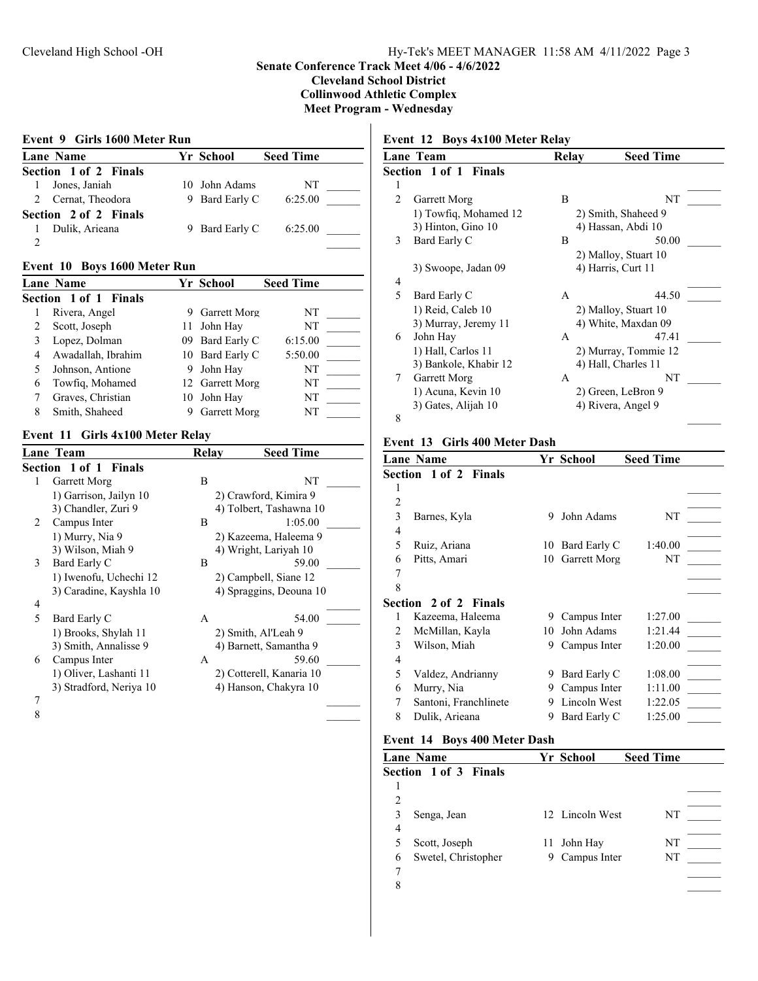## **Senate Conference Track Meet 4/06 - 4/6/2022**

**Cleveland School District**

**Collinwood Athletic Complex**

**Meet Program - Wednesday**

### **Event 9 Girls 1600 Meter Run**

| <b>Lane Name</b>      | Yr School      | <b>Seed Time</b> |
|-----------------------|----------------|------------------|
| Section 1 of 2 Finals |                |                  |
| 1 Jones, Janiah       | 10 John Adams  | NT               |
| 2 Cernat, Theodora    | 9 Bard Early C | 6:25.00          |
| Section 2 of 2 Finals |                |                  |
| Dulik, Arieana        | 9 Bard Early C | 6:25.00          |
|                       |                |                  |

#### **Event 10 Boys 1600 Meter Run**

|   | Lane Name             |   | Yr School           | <b>Seed Time</b> |  |
|---|-----------------------|---|---------------------|------------------|--|
|   | Section 1 of 1 Finals |   |                     |                  |  |
|   | Rivera, Angel         | 9 | <b>Garrett Morg</b> | NT               |  |
|   | Scott, Joseph         |   | 11 John Hay         | NT               |  |
|   | Lopez, Dolman         |   | 09 Bard Early C     | 6:15.00          |  |
| 4 | Awadallah, Ibrahim    |   | 10 Bard Early C     | 5:50.00          |  |
|   | Johnson, Antione      | 9 | John Hay            | NT               |  |
| 6 | Towfig, Mohamed       |   | 12 Garrett Morg     | NT               |  |
|   | Graves, Christian     |   | 10 John Hav         | NT               |  |
|   | Smith, Shaheed        |   | <b>Garrett Morg</b> | NT               |  |

## **Event 11 Girls 4x100 Meter Relay**

|   | Lane Team               | Relay | <b>Seed Time</b>         |  |
|---|-------------------------|-------|--------------------------|--|
|   | Section 1 of 1 Finals   |       |                          |  |
| 1 | Garrett Morg            | В     | NΤ                       |  |
|   | 1) Garrison, Jailyn 10  |       | 2) Crawford, Kimira 9    |  |
|   | 3) Chandler, Zuri 9     |       | 4) Tolbert, Tashawna 10  |  |
| 2 | Campus Inter            | B     | 1:05.00                  |  |
|   | 1) Murry, Nia 9         |       | 2) Kazeema, Haleema 9    |  |
|   | 3) Wilson, Miah 9       |       | 4) Wright, Lariyah 10    |  |
| 3 | Bard Early C            | B     | 59.00                    |  |
|   | 1) Iwenofu, Uchechi 12  |       | 2) Campbell, Siane 12    |  |
|   | 3) Caradine, Kayshla 10 |       | 4) Spraggins, Deouna 10  |  |
| 4 |                         |       |                          |  |
| 5 | Bard Early C            | A     | 54.00                    |  |
|   | 1) Brooks, Shylah 11    |       | 2) Smith, Al'Leah 9      |  |
|   | 3) Smith, Annalisse 9   |       | 4) Barnett, Samantha 9   |  |
| 6 | Campus Inter            | A     | 59.60                    |  |
|   | 1) Oliver, Lashanti 11  |       | 2) Cotterell, Kanaria 10 |  |
|   | 3) Stradford, Neriya 10 |       | 4) Hanson, Chakyra 10    |  |
| 7 |                         |       |                          |  |
| 8 |                         |       |                          |  |

## **Event 12 Boys 4x100 Meter Relay**

|                | Lane Team                    | Relay | <b>Seed Time</b>     |
|----------------|------------------------------|-------|----------------------|
|                | <b>Section 1 of 1 Finals</b> |       |                      |
| l              |                              |       |                      |
| $\overline{c}$ | Garrett Morg                 | B     | NT                   |
|                | 1) Towfig, Mohamed 12        |       | 2) Smith, Shaheed 9  |
|                | 3) Hinton, Gino 10           |       | 4) Hassan, Abdi 10   |
| 3              | Bard Early C                 | B     | 50.00                |
|                |                              |       | 2) Malloy, Stuart 10 |
|                | 3) Swoope, Jadan 09          |       | 4) Harris, Curt 11   |
| 4              |                              |       |                      |
| 5              | Bard Early C                 | A     | 44.50                |
|                | 1) Reid, Caleb 10            |       | 2) Malloy, Stuart 10 |
|                | 3) Murray, Jeremy 11         |       | 4) White, Maxdan 09  |
| 6              | John Hay                     | A     | 47.41                |
|                | 1) Hall, Carlos 11           |       | 2) Murray, Tommie 12 |
|                | 3) Bankole, Khabir 12        |       | 4) Hall, Charles 11  |
| 7              | Garrett Morg                 | A     | NT                   |
|                | 1) Acuna, Kevin 10           |       | 2) Green, LeBron 9   |
|                | 3) Gates, Alijah 10          |       | 4) Rivera, Angel 9   |
| 8              |                              |       |                      |

#### **Event 13 Girls 400 Meter Dash**

|                | <b>Lane Name</b>             |    | Yr School    | <b>Seed Time</b> |  |
|----------------|------------------------------|----|--------------|------------------|--|
|                | <b>Section 1 of 2 Finals</b> |    |              |                  |  |
|                |                              |    |              |                  |  |
| $\overline{2}$ |                              |    |              |                  |  |
| 3              | Barnes, Kyla                 | 9  | John Adams   | NT               |  |
| $\overline{4}$ |                              |    |              |                  |  |
| 5              | Ruiz, Ariana                 | 10 | Bard Early C | 1:40.00          |  |
| 6              | Pitts, Amari                 | 10 | Garrett Morg | NT               |  |
| 7              |                              |    |              |                  |  |
| 8              |                              |    |              |                  |  |
|                | <b>Section 2 of 2 Finals</b> |    |              |                  |  |
| 1              | Kazeema, Haleema             | 9  | Campus Inter | 1:27.00          |  |
| 2              | McMillan, Kayla              | 10 | John Adams   | 1:21.44          |  |
| 3              | Wilson, Miah                 | 9  | Campus Inter | 1:20.00          |  |
| 4              |                              |    |              |                  |  |
| 5              | Valdez, Andrianny            | 9  | Bard Early C | 1:08.00          |  |
| 6              | Murry, Nia                   | 9  | Campus Inter | 1:11.00          |  |
| 7              | Santoni, Franchlinete        | 9  | Lincoln West | 1:22.05          |  |
| 8              | Dulik, Arieana               | 9  | Bard Early C | 1:25.00          |  |
|                |                              |    |              |                  |  |

## **Event 14 Boys 400 Meter Dash**

|   | <b>Lane Name</b>             |     | Yr School       | <b>Seed Time</b> |  |
|---|------------------------------|-----|-----------------|------------------|--|
|   | <b>Section 1 of 3 Finals</b> |     |                 |                  |  |
|   |                              |     |                 |                  |  |
| 2 |                              |     |                 |                  |  |
|   | Senga, Jean                  |     | 12 Lincoln West | NΤ               |  |
| 4 |                              |     |                 |                  |  |
|   | Scott, Joseph                | 11. | John Hay        | NT               |  |
| 6 | Swetel, Christopher          | 9   | Campus Inter    | NT               |  |
|   |                              |     |                 |                  |  |
| 8 |                              |     |                 |                  |  |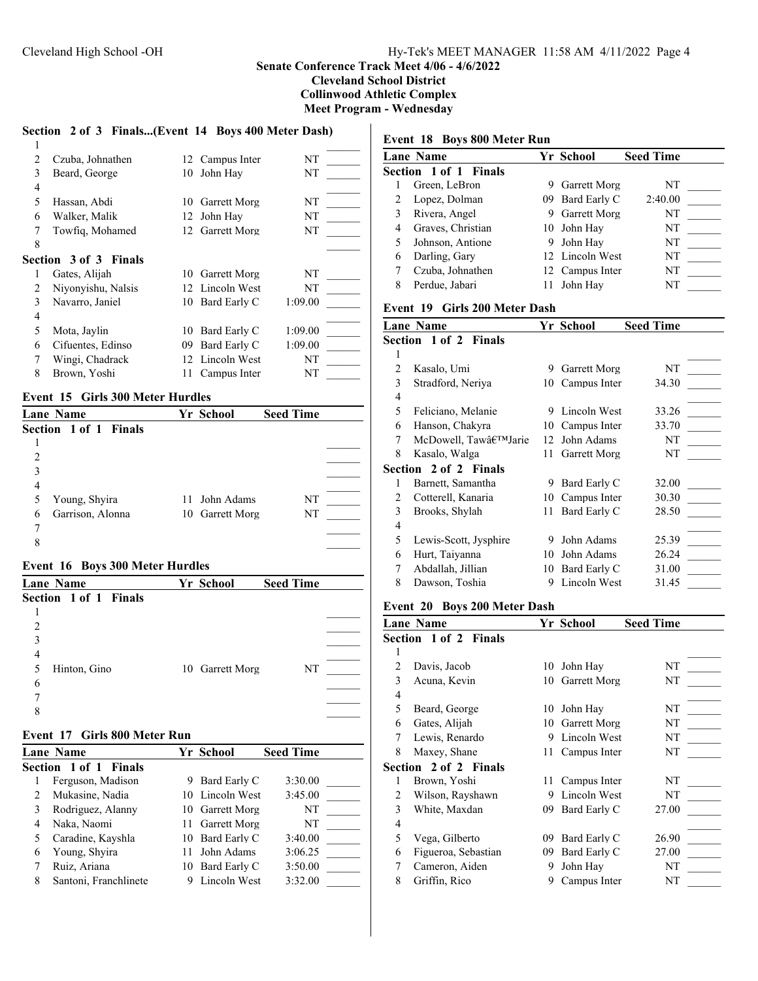#### **Senate Conference Track Meet 4/06 - 4/6/2022 Cleveland School District**

**Collinwood Athletic Complex**

**Meet Program - Wednesday**

### **Section 2 of 3 Finals...(Event 14 Boys 400 Meter Dash)**  $1$ 2 Czuba, Johnathen 12 Campus Inter NT 3 Beard, George 10 John Hay NT 4 \_\_\_\_\_\_ 5 Hassan, Abdi 10 Garrett Morg NT 6 Walker, Malik 12 John Hay NT 7 Towfiq, Mohamed 12 Garrett Morg NT 8 a  $\sim$ **Section 3 of 3 Finals** 1 Gates, Alijah 10 Garrett Morg NT 2 Niyonyishu, Nalsis 12 Lincoln West NT 3 Navarro, Janiel 10 Bard Early C 1:09.00 4 \_\_\_\_\_\_ 5 Mota, Jaylin 10 Bard Early C 1:09.00 6 Cifuentes, Edinso 09 Bard Early C 1:09.00 7 Wingi, Chadrack 12 Lincoln West NT 8 Brown, Yoshi 11 Campus Inter NT

## **Event 15 Girls 300 Meter Hurdles**

| <b>Lane Name</b>             | <b>Yr School</b> | <b>Seed Time</b> |  |
|------------------------------|------------------|------------------|--|
| <b>Section 1 of 1 Finals</b> |                  |                  |  |
|                              |                  |                  |  |
| $\mathfrak{D}$               |                  |                  |  |
| 3                            |                  |                  |  |
| 4                            |                  |                  |  |
| Young, Shyira<br>5           | 11 John Adams    | NT               |  |
| Garrison, Alonna<br>6        | 10 Garrett Morg  | NT               |  |
|                              |                  |                  |  |
| 8                            |                  |                  |  |
|                              |                  |                  |  |

#### **Event 16 Boys 300 Meter Hurdles**

| <b>Lane Name</b>      | Yr School       | <b>Seed Time</b> |
|-----------------------|-----------------|------------------|
| Section 1 of 1 Finals |                 |                  |
|                       |                 |                  |
| 2                     |                 |                  |
| 3                     |                 |                  |
| 4                     |                 |                  |
| Hinton, Gino<br>5     | 10 Garrett Morg | NT               |
| 6                     |                 |                  |
|                       |                 |                  |
| 8                     |                 |                  |
|                       |                 |                  |

#### **Event 17 Girls 800 Meter Run**

|   | <b>Lane Name</b>             |    | Yr School       | <b>Seed Time</b> |  |
|---|------------------------------|----|-----------------|------------------|--|
|   | <b>Section 1 of 1 Finals</b> |    |                 |                  |  |
|   | Ferguson, Madison            | 9. | Bard Early C    | 3:30.00          |  |
|   | Mukasine, Nadia              |    | 10 Lincoln West | 3:45.00          |  |
|   | Rodriguez, Alanny            |    | 10 Garrett Morg | NT               |  |
|   | Naka, Naomi                  |    | 11 Garrett Morg | NT               |  |
|   | Caradine, Kayshla            | 10 | Bard Early C    | 3:40.00          |  |
| 6 | Young, Shyira                |    | John Adams      | 3:06.25          |  |
|   | Ruiz, Ariana                 | 10 | Bard Early C    | 3:50.00          |  |
| 8 | Santoni, Franchlinete        |    | Lincoln West    | 3:32.00          |  |

### **Event 18 Boys 800 Meter Run**

|   | Lane Name             |   | Yr School           | <b>Seed Time</b> |  |
|---|-----------------------|---|---------------------|------------------|--|
|   | Section 1 of 1 Finals |   |                     |                  |  |
|   | Green, LeBron         | 9 | <b>Garrett Morg</b> | NT               |  |
| 2 | Lopez, Dolman         |   | 09 Bard Early C     | 2:40.00          |  |
| 3 | Rivera, Angel         |   | <b>Garrett Morg</b> | NT               |  |
| 4 | Graves, Christian     |   | 10 John Hay         | NT               |  |
| 5 | Johnson, Antione      | 9 | John Hay            | NT               |  |
| 6 | Darling, Gary         |   | 12 Lincoln West     | NT               |  |
|   | Czuba, Johnathen      |   | 12 Campus Inter     | NT               |  |
| 8 | Perdue, Jabari        |   | John Hay            | NT               |  |
|   |                       |   |                     |                  |  |

#### **Event 19 Girls 200 Meter Dash**

|                          | <b>Lane Name</b>      |    | Yr School           | <b>Seed Time</b> |  |
|--------------------------|-----------------------|----|---------------------|------------------|--|
| Section 1 of 2 Finals    |                       |    |                     |                  |  |
| 1                        |                       |    |                     |                  |  |
| 2                        | Kasalo, Umi           | 9  | <b>Garrett Morg</b> | NT               |  |
| 3                        | Stradford, Neriya     | 10 | Campus Inter        | 34.30            |  |
| 4                        |                       |    |                     |                  |  |
| 5                        | Feliciano, Melanie    | 9  | Lincoln West        | 33.26            |  |
| 6                        | Hanson, Chakyra       | 10 | Campus Inter        | 33.70            |  |
| 7                        | McDowell, Taw'Jarie   | 12 | John Adams          | NT               |  |
| 8                        | Kasalo, Walga         | 11 | Garrett Morg        | NT               |  |
|                          | Section 2 of 2 Finals |    |                     |                  |  |
| 1                        | Barnett, Samantha     | 9  | Bard Early C        | 32.00            |  |
| 2                        | Cotterell, Kanaria    | 10 | Campus Inter        | 30.30            |  |
| 3                        | Brooks, Shylah        | 11 | Bard Early C        | 28.50            |  |
| $\overline{\mathcal{L}}$ |                       |    |                     |                  |  |
| 5                        | Lewis-Scott, Jysphire | 9  | John Adams          | 25.39            |  |
| 6                        | Hurt, Taiyanna        | 10 | John Adams          | 26.24            |  |
| 7                        | Abdallah, Jillian     | 10 | Bard Early C        | 31.00            |  |
| 8                        | Dawson, Toshia        | 9  | Lincoln West        | 31.45            |  |

#### **Event 20 Boys 200 Meter Dash**

|                | <b>Lane Name</b>             |    | Yr School    | <b>Seed Time</b> |
|----------------|------------------------------|----|--------------|------------------|
|                | <b>Section 1 of 2 Finals</b> |    |              |                  |
| 1              |                              |    |              |                  |
| $\overline{2}$ | Davis, Jacob                 | 10 | John Hay     | NΤ               |
| 3              | Acuna, Kevin                 | 10 | Garrett Morg | NT               |
| 4              |                              |    |              |                  |
| 5              | Beard, George                | 10 | John Hay     | NT               |
| 6              | Gates, Alijah                | 10 | Garrett Morg | NT               |
| 7              | Lewis, Renardo               | 9  | Lincoln West | NT               |
| 8              | Maxey, Shane                 | 11 | Campus Inter | NT               |
|                | <b>Section 2 of 2 Finals</b> |    |              |                  |
| 1              | Brown, Yoshi                 | 11 | Campus Inter | NT               |
| 2              | Wilson, Rayshawn             | 9  | Lincoln West | NT               |
| 3              | White, Maxdan                | 09 | Bard Early C | 27.00            |
| $\overline{4}$ |                              |    |              |                  |
| 5              | Vega, Gilberto               | 09 | Bard Early C | 26.90            |
| 6              | Figueroa, Sebastian          | 09 | Bard Early C | 27.00            |
| 7              | Cameron, Aiden               | 9  | John Hay     | NT               |
| 8              | Griffin, Rico                | 9  | Campus Inter | NΤ               |